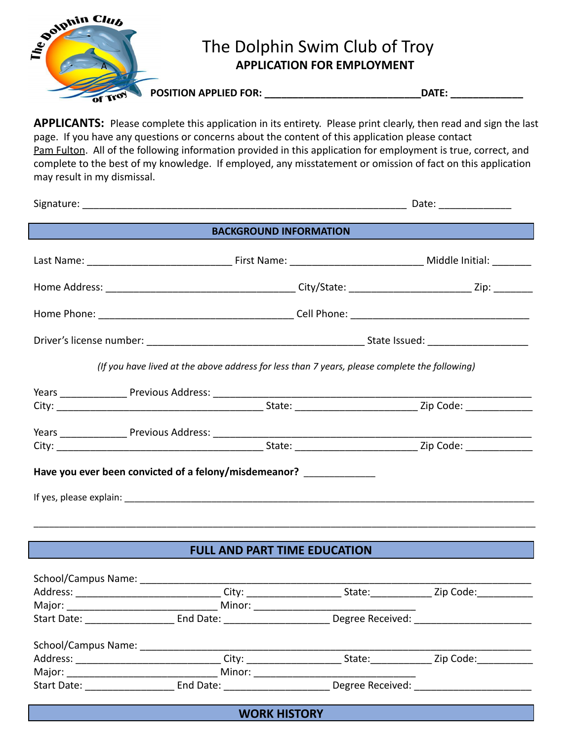

**APPLICANTS:** Please complete this application in its entirety. Please print clearly, then read and sign the last page. If you have any questions or concerns about the content of this application please contact Pam Fulton. All of the following information provided in this application for employment is true, correct, and complete to the best of my knowledge. If employed, any misstatement or omission of fact on this application may result in my dismissal.

|                               |                                                                                               | Date: _______________ |  |  |  |
|-------------------------------|-----------------------------------------------------------------------------------------------|-----------------------|--|--|--|
| <b>BACKGROUND INFORMATION</b> |                                                                                               |                       |  |  |  |
|                               |                                                                                               |                       |  |  |  |
|                               |                                                                                               |                       |  |  |  |
|                               |                                                                                               |                       |  |  |  |
|                               |                                                                                               |                       |  |  |  |
|                               | (If you have lived at the above address for less than 7 years, please complete the following) |                       |  |  |  |
|                               |                                                                                               |                       |  |  |  |
|                               |                                                                                               |                       |  |  |  |
|                               | Have you ever been convicted of a felony/misdemeanor? _____________                           |                       |  |  |  |
|                               |                                                                                               |                       |  |  |  |
|                               |                                                                                               |                       |  |  |  |

## **FULL AND PART TIME EDUCATION**

| Address: _______________                                                                                                                                                                                                       | City: ____________       | State:           | Zip Code: |
|--------------------------------------------------------------------------------------------------------------------------------------------------------------------------------------------------------------------------------|--------------------------|------------------|-----------|
| Major: and the state of the state of the state of the state of the state of the state of the state of the state of the state of the state of the state of the state of the state of the state of the state of the state of the | Minor:                   |                  |           |
| <b>Start Date:</b>                                                                                                                                                                                                             | End Date: <u>_______</u> | Degree Received: |           |
| School/Campus Name:                                                                                                                                                                                                            |                          |                  |           |
| Address: _______________                                                                                                                                                                                                       |                          | State:           | Zip Code: |
| Major: and the state of the state of the state of the state of the state of the state of the state of the state of the state of the state of the state of the state of the state of the state of the state of the state of the | Minor:                   |                  |           |
| Start Date: Start Date:                                                                                                                                                                                                        | End Date: _______        | Degree Received: |           |

**WORK HISTORY**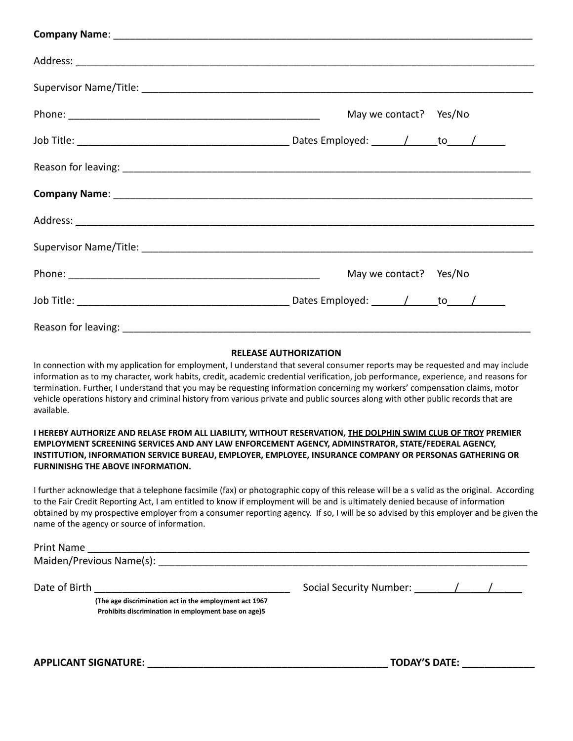| May we contact? Yes/No |
|------------------------|
|                        |
|                        |
|                        |
|                        |
|                        |
| May we contact? Yes/No |
|                        |
|                        |

## **RELEASE AUTHORIZATION**

In connection with my application for employment, I understand that several consumer reports may be requested and may include information as to my character, work habits, credit, academic credential verification, job performance, experience, and reasons for termination. Further, I understand that you may be requesting information concerning my workers' compensation claims, motor vehicle operations history and criminal history from various private and public sources along with other public records that are available.

## I HEREBY AUTHORIZE AND RELASE FROM ALL LIABILITY, WITHOUT RESERVATION, THE DOLPHIN SWIM CLUB OF TROY PREMIER **EMPLOYMENT SCREENING SERVICES AND ANY LAW ENFORCEMENT AGENCY, ADMINSTRATOR, STATE/FEDERAL AGENCY, INSTITUTION, INFORMATION SERVICE BUREAU, EMPLOYER, EMPLOYEE, INSURANCE COMPANY OR PERSONAS GATHERING OR FURNINISHG THE ABOVE INFORMATION.**

I further acknowledge that a telephone facsimile (fax) or photographic copy of this release will be a s valid as the original. According to the Fair Credit Reporting Act, I am entitled to know if employment will be and is ultimately denied because of information obtained by my prospective employer from a consumer reporting agency. If so, I will be so advised by this employer and be given the name of the agency or source of information.

Maiden/Previous Name(s): \_\_\_\_\_\_\_\_\_\_\_\_\_\_\_\_\_\_\_\_\_\_\_\_\_\_\_\_\_\_\_\_\_\_\_\_\_\_\_\_\_\_\_\_\_\_\_\_\_\_\_\_\_\_\_\_\_\_\_\_\_\_\_\_\_\_

**(The age discrimination act in the employment act 1967 Prohibits discrimination in employment base on age)5**

Date of Birth \_\_\_\_\_\_\_\_\_\_\_\_\_\_\_\_\_\_\_\_\_\_\_\_\_\_\_\_\_\_\_\_\_\_\_ Social Security Number: \_\_\_/ \_\_\_/ \_\_\_

**APPLICANT SIGNATURE: \_\_\_\_\_\_\_\_\_\_\_\_\_\_\_\_\_\_\_\_\_\_\_\_\_\_\_\_\_\_\_\_\_\_\_\_\_\_\_\_\_\_\_ TODAY'S DATE: \_\_\_\_\_\_\_\_\_\_\_\_\_**